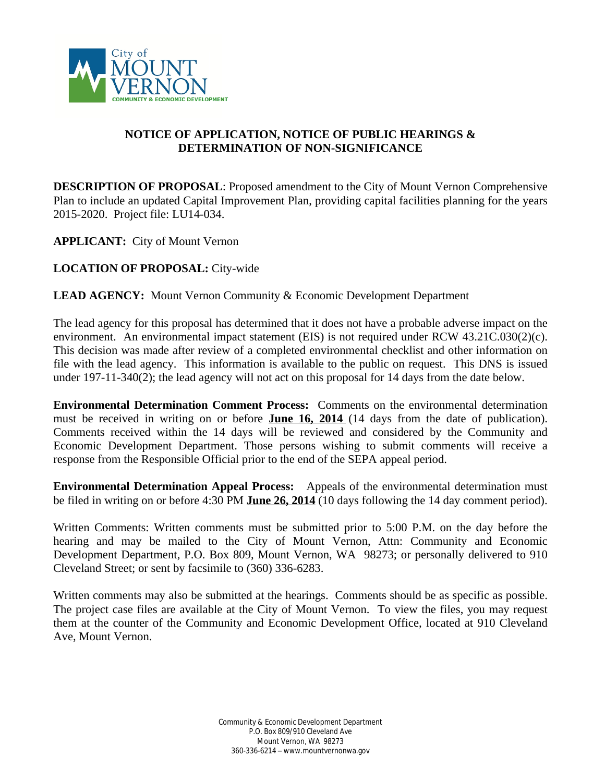

## **NOTICE OF APPLICATION, NOTICE OF PUBLIC HEARINGS & DETERMINATION OF NON-SIGNIFICANCE**

**DESCRIPTION OF PROPOSAL**: Proposed amendment to the City of Mount Vernon Comprehensive Plan to include an updated Capital Improvement Plan, providing capital facilities planning for the years 2015-2020. Project file: LU14-034.

**APPLICANT:** City of Mount Vernon

## **LOCATION OF PROPOSAL:** City-wide

**LEAD AGENCY:** Mount Vernon Community & Economic Development Department

The lead agency for this proposal has determined that it does not have a probable adverse impact on the environment. An environmental impact statement (EIS) is not required under RCW 43.21C.030(2)(c). This decision was made after review of a completed environmental checklist and other information on file with the lead agency. This information is available to the public on request. This DNS is issued under 197-11-340(2); the lead agency will not act on this proposal for 14 days from the date below.

**Environmental Determination Comment Process:** Comments on the environmental determination must be received in writing on or before **June 16, 2014** (14 days from the date of publication). Comments received within the 14 days will be reviewed and considered by the Community and Economic Development Department. Those persons wishing to submit comments will receive a response from the Responsible Official prior to the end of the SEPA appeal period.

**Environmental Determination Appeal Process:** Appeals of the environmental determination must be filed in writing on or before 4:30 PM **June 26, 2014** (10 days following the 14 day comment period).

Written Comments: Written comments must be submitted prior to 5:00 P.M. on the day before the hearing and may be mailed to the City of Mount Vernon, Attn: Community and Economic Development Department, P.O. Box 809, Mount Vernon, WA 98273; or personally delivered to 910 Cleveland Street; or sent by facsimile to (360) 336-6283.

Written comments may also be submitted at the hearings. Comments should be as specific as possible. The project case files are available at the City of Mount Vernon. To view the files, you may request them at the counter of the Community and Economic Development Office, located at 910 Cleveland Ave, Mount Vernon.